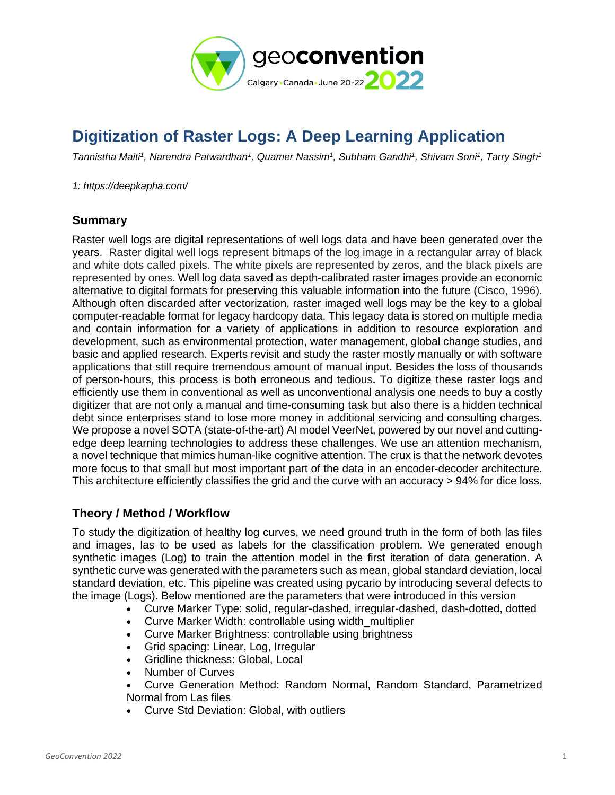

# **Digitization of Raster Logs: A Deep Learning Application**

*Tannistha Maiti<sup>1</sup> , Narendra Patwardhan<sup>1</sup> , Quamer Nassim<sup>1</sup> , Subham Gandhi<sup>1</sup> , Shivam Soni<sup>1</sup> , Tarry Singh<sup>1</sup>*

*1: https://deepkapha.com/*

#### **Summary**

Raster well logs are digital representations of well logs data and have been generated over the years. Raster digital well logs represent bitmaps of the log image in a rectangular array of black and white dots called pixels. The white pixels are represented by zeros, and the black pixels are represented by ones. Well log data saved as depth-calibrated raster images provide an economic alternative to digital formats for preserving this valuable information into the future (Cisco, 1996). Although often discarded after vectorization, raster imaged well logs may be the key to a global computer-readable format for legacy hardcopy data. This legacy data is stored on multiple media and contain information for a variety of applications in addition to resource exploration and development, such as environmental protection, water management, global change studies, and basic and applied research. Experts revisit and study the raster mostly manually or with software applications that still require tremendous amount of manual input. Besides the loss of thousands of person-hours, this process is both erroneous and tedious**.** To digitize these raster logs and efficiently use them in conventional as well as unconventional analysis one needs to buy a costly digitizer that are not only a manual and time-consuming task but also there is a hidden technical debt since enterprises stand to lose more money in additional servicing and consulting charges. We propose a novel SOTA (state-of-the-art) AI model VeerNet, powered by our novel and cuttingedge deep learning technologies to address these challenges. We use an attention mechanism, a novel technique that mimics human-like cognitive attention. The crux is that the network devotes more focus to that small but most important part of the data in an encoder-decoder architecture. This architecture efficiently classifies the grid and the curve with an accuracy > 94% for dice loss.

## **Theory / Method / Workflow**

To study the digitization of healthy log curves, we need ground truth in the form of both las files and images, las to be used as labels for the classification problem. We generated enough synthetic images (Log) to train the attention model in the first iteration of data generation. A synthetic curve was generated with the parameters such as mean, global standard deviation, local standard deviation, etc. This pipeline was created using pycario by introducing several defects to the image (Logs). Below mentioned are the parameters that were introduced in this version

- Curve Marker Type: solid, regular-dashed, irregular-dashed, dash-dotted, dotted
- Curve Marker Width: controllable using width multiplier
- Curve Marker Brightness: controllable using brightness
- Grid spacing: Linear, Log, Irregular
- Gridline thickness: Global, Local
- Number of Curves
- Curve Generation Method: Random Normal, Random Standard, Parametrized Normal from Las files
- Curve Std Deviation: Global, with outliers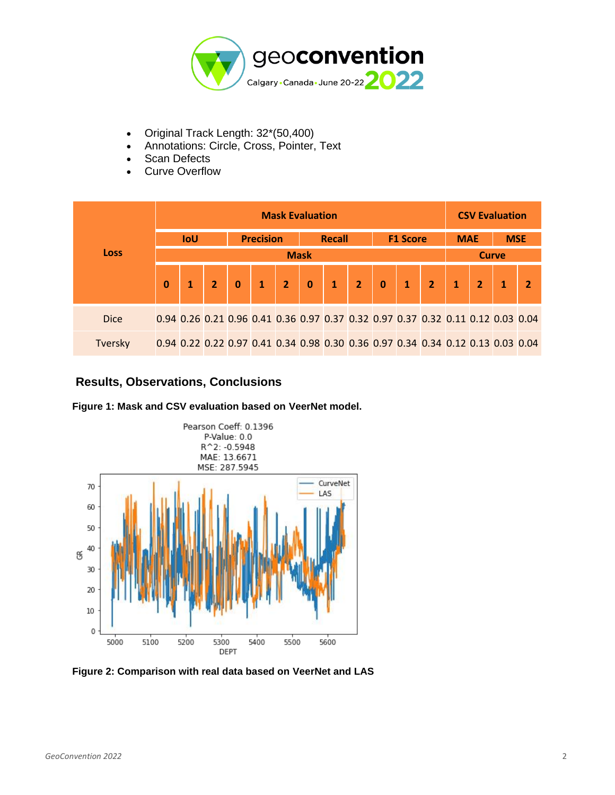

- Original Track Length: 32\*(50,400)
	- Annotations: Circle, Cross, Pointer, Text
- Scan Defects
- Curve Overflow

| <b>Loss</b>    | <b>Mask Evaluation</b> |  |                  |             |                |               |          |              |                                                                                 |          |  |                | <b>CSV Evaluation</b> |  |            |  |
|----------------|------------------------|--|------------------|-------------|----------------|---------------|----------|--------------|---------------------------------------------------------------------------------|----------|--|----------------|-----------------------|--|------------|--|
|                | IoU                    |  | <b>Precision</b> |             |                | <b>Recall</b> |          |              | <b>F1 Score</b>                                                                 |          |  |                | <b>MAE</b>            |  | <b>MSE</b> |  |
|                | <b>Mask</b>            |  |                  |             |                |               |          |              |                                                                                 |          |  |                | <b>Curve</b>          |  |            |  |
|                | $\Omega$               |  | $\overline{2}$   | $\mathbf 0$ | $\blacksquare$ | <b>V</b>      | $\bf{0}$ | $\mathbf{1}$ | 2 <sup>2</sup>                                                                  | $\bf{0}$ |  | 2 <sup>1</sup> |                       |  |            |  |
| <b>Dice</b>    |                        |  |                  |             |                |               |          |              | 0.94 0.26 0.21 0.96 0.41 0.36 0.97 0.37 0.32 0.97 0.37 0.32 0.11 0.12 0.03 0.04 |          |  |                |                       |  |            |  |
| <b>Tversky</b> |                        |  |                  |             |                |               |          |              | 0.94 0.22 0.22 0.97 0.41 0.34 0.98 0.30 0.36 0.97 0.34 0.34 0.12 0.13 0.03 0.04 |          |  |                |                       |  |            |  |

# **Results, Observations, Conclusions**





**Figure 2: Comparison with real data based on VeerNet and LAS**